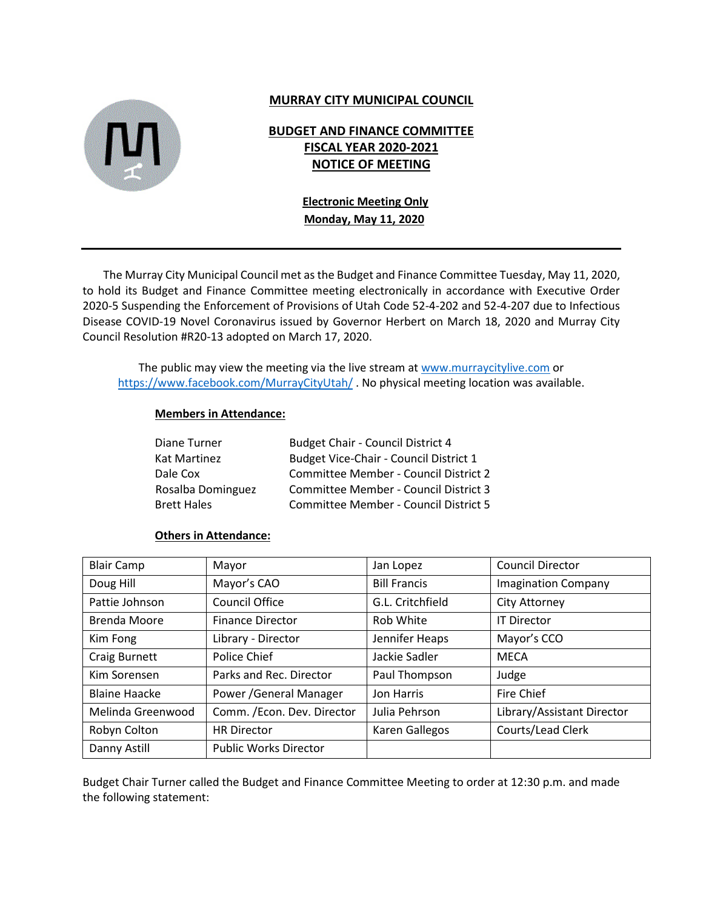

## **MURRAY CITY MUNICIPAL COUNCIL**

# **BUDGET AND FINANCE COMMITTEE FISCAL YEAR 2020-2021 NOTICE OF MEETING**

## **Electronic Meeting Only Monday, May 11, 2020**

The Murray City Municipal Council met as the Budget and Finance Committee Tuesday, May 11, 2020, to hold its Budget and Finance Committee meeting electronically in accordance with Executive Order 2020-5 Suspending the Enforcement of Provisions of Utah Code 52-4-202 and 52-4-207 due to Infectious Disease COVID-19 Novel Coronavirus issued by Governor Herbert on March 18, 2020 and Murray City Council Resolution #R20-13 adopted on March 17, 2020.

The public may view the meeting via the live stream at [www.murraycitylive.com](http://www.murraycitylive.com/) or <https://www.facebook.com/MurrayCityUtah/> . No physical meeting location was available.

### **Members in Attendance:**

| Diane Turner       | <b>Budget Chair - Council District 4</b> |
|--------------------|------------------------------------------|
| Kat Martinez       | Budget Vice-Chair - Council District 1   |
| Dale Cox           | Committee Member - Council District 2    |
| Rosalba Dominguez  | Committee Member - Council District 3    |
| <b>Brett Hales</b> | Committee Member - Council District 5    |

#### **Others in Attendance:**

| <b>Blair Camp</b>    | Mayor                        | Jan Lopez           | <b>Council Director</b>    |
|----------------------|------------------------------|---------------------|----------------------------|
| Doug Hill            | Mayor's CAO                  | <b>Bill Francis</b> | <b>Imagination Company</b> |
| Pattie Johnson       | Council Office               | G.L. Critchfield    | <b>City Attorney</b>       |
| Brenda Moore         | <b>Finance Director</b>      | Rob White           | <b>IT Director</b>         |
| Kim Fong             | Library - Director           | Jennifer Heaps      | Mayor's CCO                |
| Craig Burnett        | Police Chief                 | Jackie Sadler       | <b>MECA</b>                |
| Kim Sorensen         | Parks and Rec. Director      | Paul Thompson       | Judge                      |
| <b>Blaine Haacke</b> | Power / General Manager      | Jon Harris          | Fire Chief                 |
| Melinda Greenwood    | Comm. / Econ. Dev. Director  | Julia Pehrson       | Library/Assistant Director |
| Robyn Colton         | <b>HR Director</b>           | Karen Gallegos      | Courts/Lead Clerk          |
| Danny Astill         | <b>Public Works Director</b> |                     |                            |

Budget Chair Turner called the Budget and Finance Committee Meeting to order at 12:30 p.m. and made the following statement: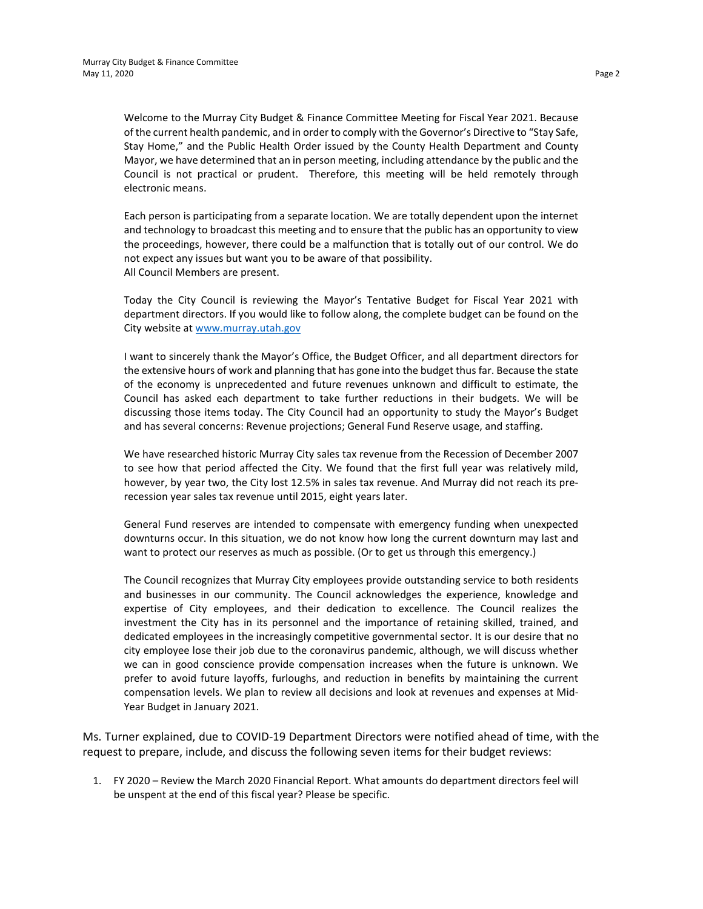Welcome to the Murray City Budget & Finance Committee Meeting for Fiscal Year 2021. Because of the current health pandemic, and in order to comply with the Governor's Directive to "Stay Safe, Stay Home," and the Public Health Order issued by the County Health Department and County Mayor, we have determined that an in person meeting, including attendance by the public and the Council is not practical or prudent. Therefore, this meeting will be held remotely through electronic means.

Each person is participating from a separate location. We are totally dependent upon the internet and technology to broadcast this meeting and to ensure that the public has an opportunity to view the proceedings, however, there could be a malfunction that is totally out of our control. We do not expect any issues but want you to be aware of that possibility. All Council Members are present.

Today the City Council is reviewing the Mayor's Tentative Budget for Fiscal Year 2021 with department directors. If you would like to follow along, the complete budget can be found on the City website at [www.murray.utah.gov](http://www.murray.utah.gov/)

I want to sincerely thank the Mayor's Office, the Budget Officer, and all department directors for the extensive hours of work and planning that has gone into the budget thus far. Because the state of the economy is unprecedented and future revenues unknown and difficult to estimate, the Council has asked each department to take further reductions in their budgets. We will be discussing those items today. The City Council had an opportunity to study the Mayor's Budget and has several concerns: Revenue projections; General Fund Reserve usage, and staffing.

We have researched historic Murray City sales tax revenue from the Recession of December 2007 to see how that period affected the City. We found that the first full year was relatively mild, however, by year two, the City lost 12.5% in sales tax revenue. And Murray did not reach its prerecession year sales tax revenue until 2015, eight years later.

General Fund reserves are intended to compensate with emergency funding when unexpected downturns occur. In this situation, we do not know how long the current downturn may last and want to protect our reserves as much as possible. (Or to get us through this emergency.)

The Council recognizes that Murray City employees provide outstanding service to both residents and businesses in our community. The Council acknowledges the experience, knowledge and expertise of City employees, and their dedication to excellence. The Council realizes the investment the City has in its personnel and the importance of retaining skilled, trained, and dedicated employees in the increasingly competitive governmental sector. It is our desire that no city employee lose their job due to the coronavirus pandemic, although, we will discuss whether we can in good conscience provide compensation increases when the future is unknown. We prefer to avoid future layoffs, furloughs, and reduction in benefits by maintaining the current compensation levels. We plan to review all decisions and look at revenues and expenses at Mid-Year Budget in January 2021.

Ms. Turner explained, due to COVID-19 Department Directors were notified ahead of time, with the request to prepare, include, and discuss the following seven items for their budget reviews:

1. FY 2020 – Review the March 2020 Financial Report. What amounts do department directors feel will be unspent at the end of this fiscal year? Please be specific.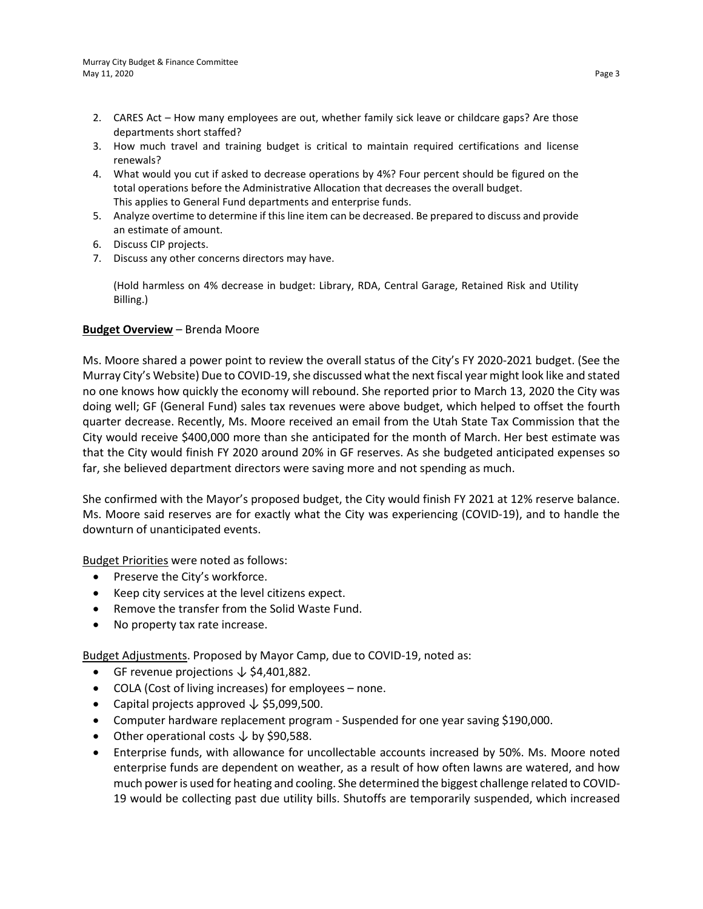- 2. CARES Act How many employees are out, whether family sick leave or childcare gaps? Are those departments short staffed?
- 3. How much travel and training budget is critical to maintain required certifications and license renewals?
- 4. What would you cut if asked to decrease operations by 4%? Four percent should be figured on the total operations before the Administrative Allocation that decreases the overall budget. This applies to General Fund departments and enterprise funds.
- 5. Analyze overtime to determine if this line item can be decreased. Be prepared to discuss and provide an estimate of amount.
- 6. Discuss CIP projects.
- 7. Discuss any other concerns directors may have.

(Hold harmless on 4% decrease in budget: Library, RDA, Central Garage, Retained Risk and Utility Billing.)

### **Budget Overview** – Brenda Moore

Ms. Moore shared a power point to review the overall status of the City's FY 2020-2021 budget. (See the Murray City's Website) Due to COVID-19, she discussed what the next fiscal year might look like and stated no one knows how quickly the economy will rebound. She reported prior to March 13, 2020 the City was doing well; GF (General Fund) sales tax revenues were above budget, which helped to offset the fourth quarter decrease. Recently, Ms. Moore received an email from the Utah State Tax Commission that the City would receive \$400,000 more than she anticipated for the month of March. Her best estimate was that the City would finish FY 2020 around 20% in GF reserves. As she budgeted anticipated expenses so far, she believed department directors were saving more and not spending as much.

She confirmed with the Mayor's proposed budget, the City would finish FY 2021 at 12% reserve balance. Ms. Moore said reserves are for exactly what the City was experiencing (COVID-19), and to handle the downturn of unanticipated events.

Budget Priorities were noted as follows:

- Preserve the City's workforce.
- Keep city services at the level citizens expect.
- Remove the transfer from the Solid Waste Fund.
- No property tax rate increase.

Budget Adjustments. Proposed by Mayor Camp, due to COVID-19, noted as:

- GF revenue projections ↓ \$4,401,882.
- COLA (Cost of living increases) for employees none.
- Capital projects approved ↓ \$5,099,500.
- Computer hardware replacement program Suspended for one year saving \$190,000.
- Other operational costs  $\downarrow$  by \$90,588.
- Enterprise funds, with allowance for uncollectable accounts increased by 50%. Ms. Moore noted enterprise funds are dependent on weather, as a result of how often lawns are watered, and how much power is used for heating and cooling. She determined the biggest challenge related to COVID-19 would be collecting past due utility bills. Shutoffs are temporarily suspended, which increased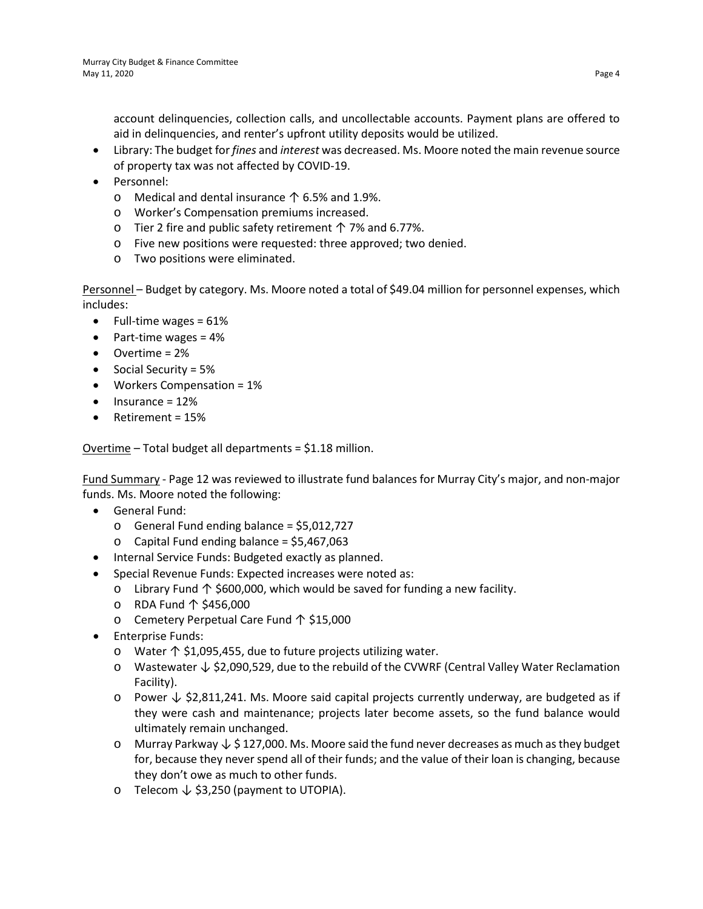account delinquencies, collection calls, and uncollectable accounts. Payment plans are offered to aid in delinquencies, and renter's upfront utility deposits would be utilized.

- Library: The budget for *fines* and *interest* was decreased. Ms. Moore noted the main revenue source of property tax was not affected by COVID-19.
- Personnel:
	- o Medical and dental insurance ↑ 6.5% and 1.9%.
	- o Worker's Compensation premiums increased.
	- o Tier 2 fire and public safety retirement ↑ 7% and 6.77%.
	- o Five new positions were requested: three approved; two denied.
	- o Two positions were eliminated.

Personnel – Budget by category. Ms. Moore noted a total of \$49.04 million for personnel expenses, which includes:

- Full-time wages  $= 61\%$
- Part-time wages = 4%
- Overtime = 2%
- Social Security = 5%
- Workers Compensation = 1%
- $\bullet$  Insurance = 12%
- Retirement = 15%

Overtime – Total budget all departments = \$1.18 million.

Fund Summary - Page 12 was reviewed to illustrate fund balances for Murray City's major, and non-major funds. Ms. Moore noted the following:

- General Fund:
	- $\circ$  General Fund ending balance = \$5,012,727
	- $\circ$  Capital Fund ending balance = \$5,467,063
- Internal Service Funds: Budgeted exactly as planned.
- Special Revenue Funds: Expected increases were noted as:
	- o Library Fund ↑ \$600,000, which would be saved for funding a new facility.
	- o RDA Fund ↑ \$456,000
	- o Cemetery Perpetual Care Fund ↑ \$15,000
- Enterprise Funds:
	- o Water ↑ \$1,095,455, due to future projects utilizing water.
	- o Wastewater ↓ \$2,090,529, due to the rebuild of the CVWRF (Central Valley Water Reclamation Facility).
	- o Power ↓ \$2,811,241. Ms. Moore said capital projects currently underway, are budgeted as if they were cash and maintenance; projects later become assets, so the fund balance would ultimately remain unchanged.
	- o Murray Parkway ↓ \$ 127,000. Ms. Moore said the fund never decreases as much as they budget for, because they never spend all of their funds; and the value of their loan is changing, because they don't owe as much to other funds.
	- o Telecom ↓ \$3,250 (payment to UTOPIA).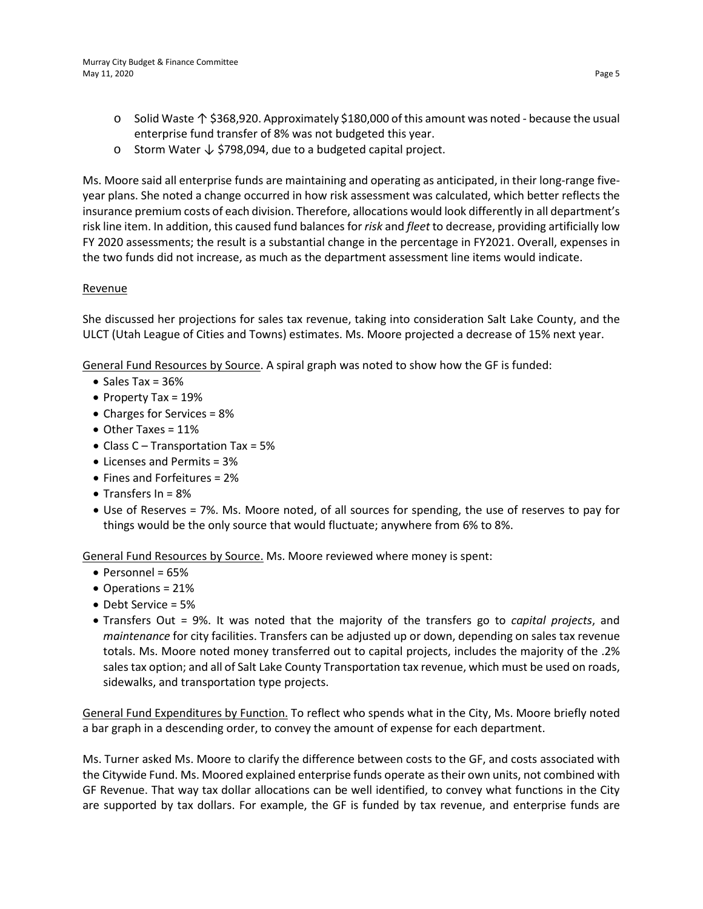- o Solid Waste ↑ \$368,920. Approximately \$180,000 of this amount was noted because the usual enterprise fund transfer of 8% was not budgeted this year.
- o Storm Water ↓ \$798,094, due to a budgeted capital project.

Ms. Moore said all enterprise funds are maintaining and operating as anticipated, in their long-range fiveyear plans. She noted a change occurred in how risk assessment was calculated, which better reflects the insurance premium costs of each division. Therefore, allocations would look differently in all department's risk line item. In addition, this caused fund balances for *risk* and *fleet* to decrease, providing artificially low FY 2020 assessments; the result is a substantial change in the percentage in FY2021. Overall, expenses in the two funds did not increase, as much as the department assessment line items would indicate.

### **Revenue**

She discussed her projections for sales tax revenue, taking into consideration Salt Lake County, and the ULCT (Utah League of Cities and Towns) estimates. Ms. Moore projected a decrease of 15% next year.

General Fund Resources by Source. A spiral graph was noted to show how the GF is funded:

- Sales Tax =  $36%$
- Property Tax = 19%
- Charges for Services = 8%
- Other Taxes = 11%
- Class  $C -$  Transportation Tax = 5%
- Licenses and Permits = 3%
- Fines and Forfeitures = 2%
- Transfers In = 8%
- Use of Reserves = 7%. Ms. Moore noted, of all sources for spending, the use of reserves to pay for things would be the only source that would fluctuate; anywhere from 6% to 8%.

General Fund Resources by Source. Ms. Moore reviewed where money is spent:

- $\bullet$  Personnel = 65%
- Operations = 21%
- Debt Service = 5%
- Transfers Out = 9%. It was noted that the majority of the transfers go to *capital projects*, and *maintenance* for city facilities. Transfers can be adjusted up or down, depending on sales tax revenue totals. Ms. Moore noted money transferred out to capital projects, includes the majority of the .2% sales tax option; and all of Salt Lake County Transportation tax revenue, which must be used on roads, sidewalks, and transportation type projects.

General Fund Expenditures by Function. To reflect who spends what in the City, Ms. Moore briefly noted a bar graph in a descending order, to convey the amount of expense for each department.

Ms. Turner asked Ms. Moore to clarify the difference between costs to the GF, and costs associated with the Citywide Fund. Ms. Moored explained enterprise funds operate as their own units, not combined with GF Revenue. That way tax dollar allocations can be well identified, to convey what functions in the City are supported by tax dollars. For example, the GF is funded by tax revenue, and enterprise funds are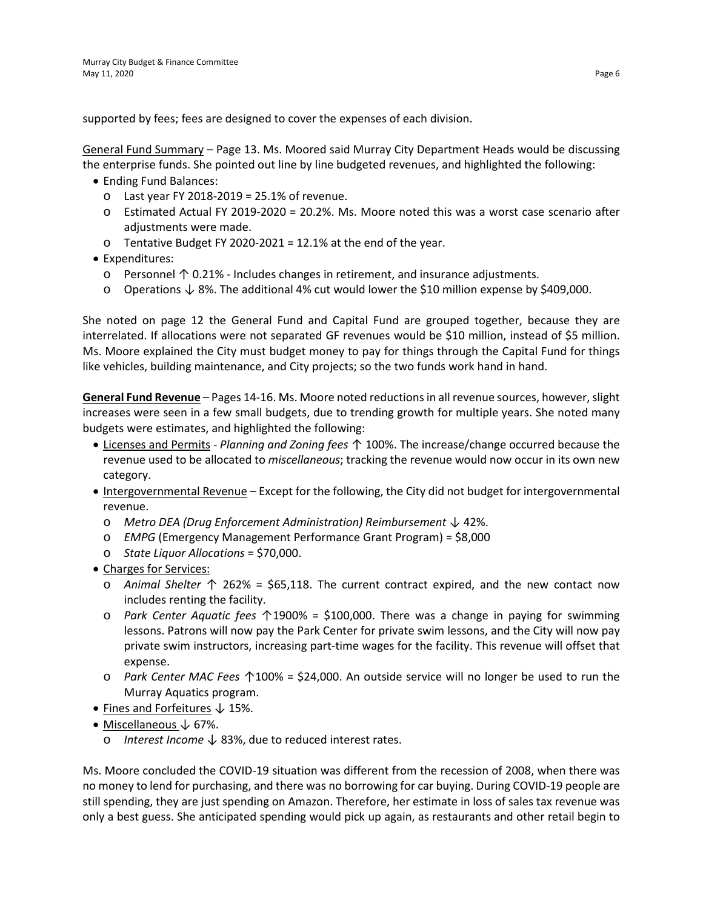supported by fees; fees are designed to cover the expenses of each division.

General Fund Summary – Page 13. Ms. Moored said Murray City Department Heads would be discussing the enterprise funds. She pointed out line by line budgeted revenues, and highlighted the following:

- Ending Fund Balances:
	- $\circ$  Last year FY 2018-2019 = 25.1% of revenue.
	- o Estimated Actual FY 2019-2020 = 20.2%. Ms. Moore noted this was a worst case scenario after adjustments were made.
	- $\circ$  Tentative Budget FY 2020-2021 = 12.1% at the end of the year.
- Expenditures:
	- o Personnel ↑ 0.21% Includes changes in retirement, and insurance adjustments.
	- o Operations ↓ 8%. The additional 4% cut would lower the \$10 million expense by \$409,000.

She noted on page 12 the General Fund and Capital Fund are grouped together, because they are interrelated. If allocations were not separated GF revenues would be \$10 million, instead of \$5 million. Ms. Moore explained the City must budget money to pay for things through the Capital Fund for things like vehicles, building maintenance, and City projects; so the two funds work hand in hand.

**General Fund Revenue** – Pages 14-16. Ms. Moore noted reductions in all revenue sources, however, slight increases were seen in a few small budgets, due to trending growth for multiple years. She noted many budgets were estimates, and highlighted the following:

- Licenses and Permits *Planning and Zoning fees ↑* 100%. The increase/change occurred because the revenue used to be allocated to *miscellaneous*; tracking the revenue would now occur in its own new category.
- Intergovernmental Revenue Except for the following, the City did not budget for intergovernmental revenue.
	- o *Metro DEA (Drug Enforcement Administration) Reimbursement* ↓ 42%.
	- o *EMPG* (Emergency Management Performance Grant Program) = \$8,000
	- o *State Liquor Allocations* = \$70,000.
- Charges for Services:
	- o *Animal Shelter* ↑ 262% = \$65,118. The current contract expired, and the new contact now includes renting the facility.
	- o *Park Center Aquatic fees* ↑1900% = \$100,000. There was a change in paying for swimming lessons. Patrons will now pay the Park Center for private swim lessons, and the City will now pay private swim instructors, increasing part-time wages for the facility. This revenue will offset that expense.
	- o *Park Center MAC Fees* ↑100% = \$24,000. An outside service will no longer be used to run the Murray Aquatics program.
- Fines and Forfeitures ↓ 15%.
- Miscellaneous ↓ 67%.
	- o *Interest Income* ↓ 83%, due to reduced interest rates.

Ms. Moore concluded the COVID-19 situation was different from the recession of 2008, when there was no money to lend for purchasing, and there was no borrowing for car buying. During COVID-19 people are still spending, they are just spending on Amazon. Therefore, her estimate in loss of sales tax revenue was only a best guess. She anticipated spending would pick up again, as restaurants and other retail begin to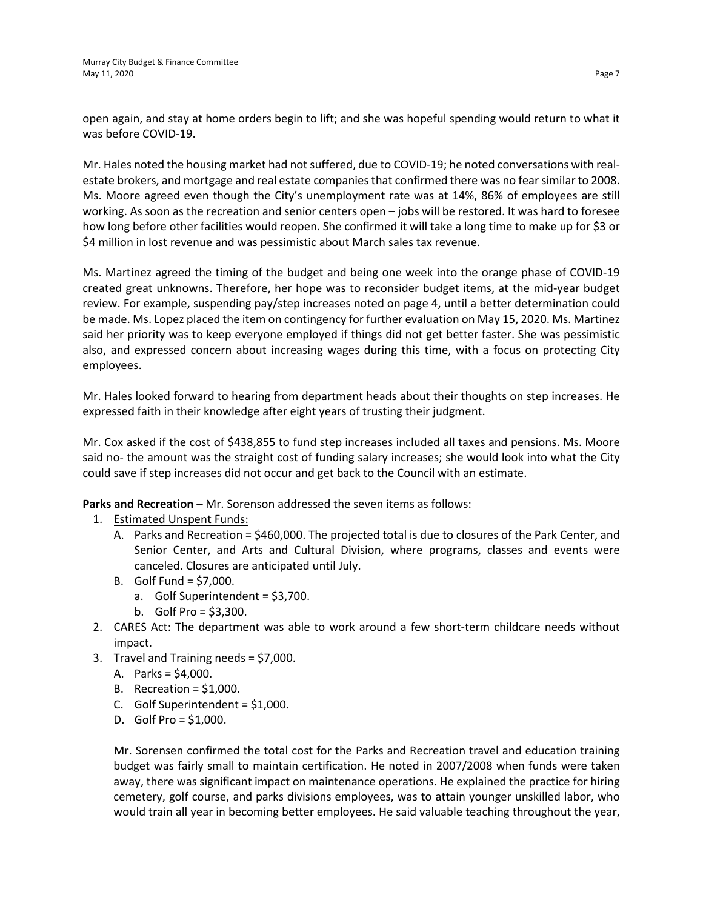open again, and stay at home orders begin to lift; and she was hopeful spending would return to what it was before COVID-19.

Mr. Hales noted the housing market had not suffered, due to COVID-19; he noted conversations with realestate brokers, and mortgage and real estate companies that confirmed there was no fear similar to 2008. Ms. Moore agreed even though the City's unemployment rate was at 14%, 86% of employees are still working. As soon as the recreation and senior centers open – jobs will be restored. It was hard to foresee how long before other facilities would reopen. She confirmed it will take a long time to make up for \$3 or \$4 million in lost revenue and was pessimistic about March sales tax revenue.

Ms. Martinez agreed the timing of the budget and being one week into the orange phase of COVID-19 created great unknowns. Therefore, her hope was to reconsider budget items, at the mid-year budget review. For example, suspending pay/step increases noted on page 4, until a better determination could be made. Ms. Lopez placed the item on contingency for further evaluation on May 15, 2020. Ms. Martinez said her priority was to keep everyone employed if things did not get better faster. She was pessimistic also, and expressed concern about increasing wages during this time, with a focus on protecting City employees.

Mr. Hales looked forward to hearing from department heads about their thoughts on step increases. He expressed faith in their knowledge after eight years of trusting their judgment.

Mr. Cox asked if the cost of \$438,855 to fund step increases included all taxes and pensions. Ms. Moore said no- the amount was the straight cost of funding salary increases; she would look into what the City could save if step increases did not occur and get back to the Council with an estimate.

**Parks and Recreation** – Mr. Sorenson addressed the seven items as follows:

- 1. Estimated Unspent Funds:
	- A. Parks and Recreation = \$460,000. The projected total is due to closures of the Park Center, and Senior Center, and Arts and Cultural Division, where programs, classes and events were canceled. Closures are anticipated until July.
	- B. Golf Fund = \$7,000.
		- a. Golf Superintendent = \$3,700.
		- b. Golf Pro = \$3,300.
- 2. CARES Act: The department was able to work around a few short-term childcare needs without impact.
- 3. Travel and Training needs = \$7,000.
	- A. Parks =  $$4,000$ .
	- B. Recreation =  $$1,000$ .
	- C. Golf Superintendent = \$1,000.
	- D. Golf Pro = \$1,000.

Mr. Sorensen confirmed the total cost for the Parks and Recreation travel and education training budget was fairly small to maintain certification. He noted in 2007/2008 when funds were taken away, there was significant impact on maintenance operations. He explained the practice for hiring cemetery, golf course, and parks divisions employees, was to attain younger unskilled labor, who would train all year in becoming better employees. He said valuable teaching throughout the year,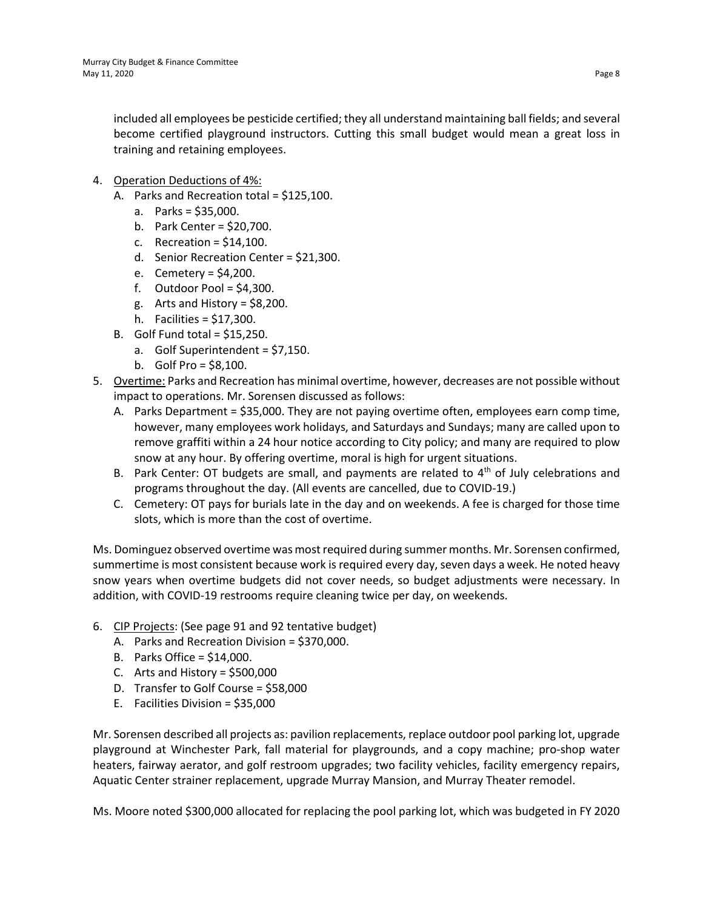included all employees be pesticide certified; they all understand maintaining ball fields; and several become certified playground instructors. Cutting this small budget would mean a great loss in training and retaining employees.

- 4. Operation Deductions of 4%:
	- A. Parks and Recreation total = \$125,100.
		- a. Parks = \$35,000.
		- b. Park Center = \$20,700.
		- c. Recreation =  $$14.100$ .
		- d. Senior Recreation Center = \$21,300.
		- e. Cemetery = \$4,200.
		- f. Outdoor Pool =  $$4,300$ .
		- g. Arts and History =  $$8,200$ .
		- h. Facilities = \$17,300.
	- B. Golf Fund total =  $$15,250$ .
		- a. Golf Superintendent = \$7,150.
		- b. Golf Pro = \$8,100.
- 5. Overtime: Parks and Recreation has minimal overtime, however, decreases are not possible without impact to operations. Mr. Sorensen discussed as follows:
	- A. Parks Department = \$35,000. They are not paying overtime often, employees earn comp time, however, many employees work holidays, and Saturdays and Sundays; many are called upon to remove graffiti within a 24 hour notice according to City policy; and many are required to plow snow at any hour. By offering overtime, moral is high for urgent situations.
	- B. Park Center: OT budgets are small, and payments are related to  $4<sup>th</sup>$  of July celebrations and programs throughout the day. (All events are cancelled, due to COVID-19.)
	- C. Cemetery: OT pays for burials late in the day and on weekends. A fee is charged for those time slots, which is more than the cost of overtime.

Ms. Dominguez observed overtime was most required during summer months. Mr. Sorensen confirmed, summertime is most consistent because work is required every day, seven days a week. He noted heavy snow years when overtime budgets did not cover needs, so budget adjustments were necessary. In addition, with COVID-19 restrooms require cleaning twice per day, on weekends.

- 6. CIP Projects: (See page 91 and 92 tentative budget)
	- A. Parks and Recreation Division = \$370,000.
	- B. Parks Office = \$14,000.
	- C. Arts and History =  $$500,000$
	- D. Transfer to Golf Course = \$58,000
	- E. Facilities Division = \$35,000

Mr. Sorensen described all projects as: pavilion replacements, replace outdoor pool parking lot, upgrade playground at Winchester Park, fall material for playgrounds, and a copy machine; pro-shop water heaters, fairway aerator, and golf restroom upgrades; two facility vehicles, facility emergency repairs, Aquatic Center strainer replacement, upgrade Murray Mansion, and Murray Theater remodel.

Ms. Moore noted \$300,000 allocated for replacing the pool parking lot, which was budgeted in FY 2020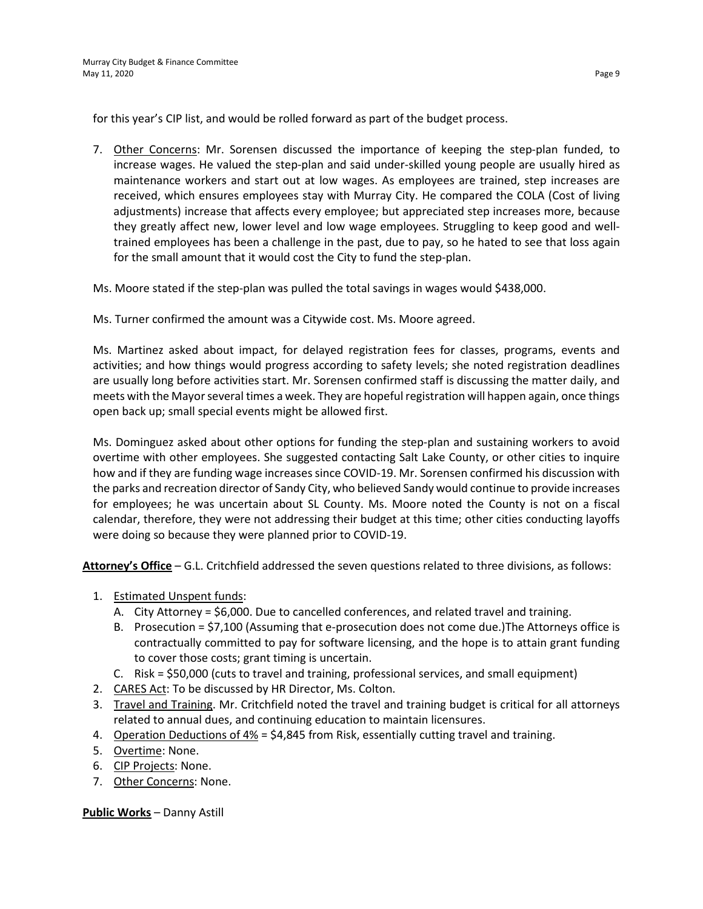for this year's CIP list, and would be rolled forward as part of the budget process.

7. Other Concerns: Mr. Sorensen discussed the importance of keeping the step-plan funded, to increase wages. He valued the step-plan and said under-skilled young people are usually hired as maintenance workers and start out at low wages. As employees are trained, step increases are received, which ensures employees stay with Murray City. He compared the COLA (Cost of living adjustments) increase that affects every employee; but appreciated step increases more, because they greatly affect new, lower level and low wage employees. Struggling to keep good and welltrained employees has been a challenge in the past, due to pay, so he hated to see that loss again for the small amount that it would cost the City to fund the step-plan.

Ms. Moore stated if the step-plan was pulled the total savings in wages would \$438,000.

Ms. Turner confirmed the amount was a Citywide cost. Ms. Moore agreed.

Ms. Martinez asked about impact, for delayed registration fees for classes, programs, events and activities; and how things would progress according to safety levels; she noted registration deadlines are usually long before activities start. Mr. Sorensen confirmed staff is discussing the matter daily, and meets with the Mayor several times a week. They are hopeful registration will happen again, once things open back up; small special events might be allowed first.

Ms. Dominguez asked about other options for funding the step-plan and sustaining workers to avoid overtime with other employees. She suggested contacting Salt Lake County, or other cities to inquire how and if they are funding wage increases since COVID-19. Mr. Sorensen confirmed his discussion with the parks and recreation director of Sandy City, who believed Sandy would continue to provide increases for employees; he was uncertain about SL County. Ms. Moore noted the County is not on a fiscal calendar, therefore, they were not addressing their budget at this time; other cities conducting layoffs were doing so because they were planned prior to COVID-19.

**Attorney's Office** – G.L. Critchfield addressed the seven questions related to three divisions, as follows:

- 1. Estimated Unspent funds:
	- A. City Attorney = \$6,000. Due to cancelled conferences, and related travel and training.
	- B. Prosecution = \$7,100 (Assuming that e-prosecution does not come due.)The Attorneys office is contractually committed to pay for software licensing, and the hope is to attain grant funding to cover those costs; grant timing is uncertain.
	- C. Risk = \$50,000 (cuts to travel and training, professional services, and small equipment)
- 2. CARES Act: To be discussed by HR Director, Ms. Colton.
- 3. Travel and Training. Mr. Critchfield noted the travel and training budget is critical for all attorneys related to annual dues, and continuing education to maintain licensures.
- 4. Operation Deductions of 4% = \$4,845 from Risk, essentially cutting travel and training.
- 5. Overtime: None.
- 6. CIP Projects: None.
- 7. Other Concerns: None.

**Public Works** – Danny Astill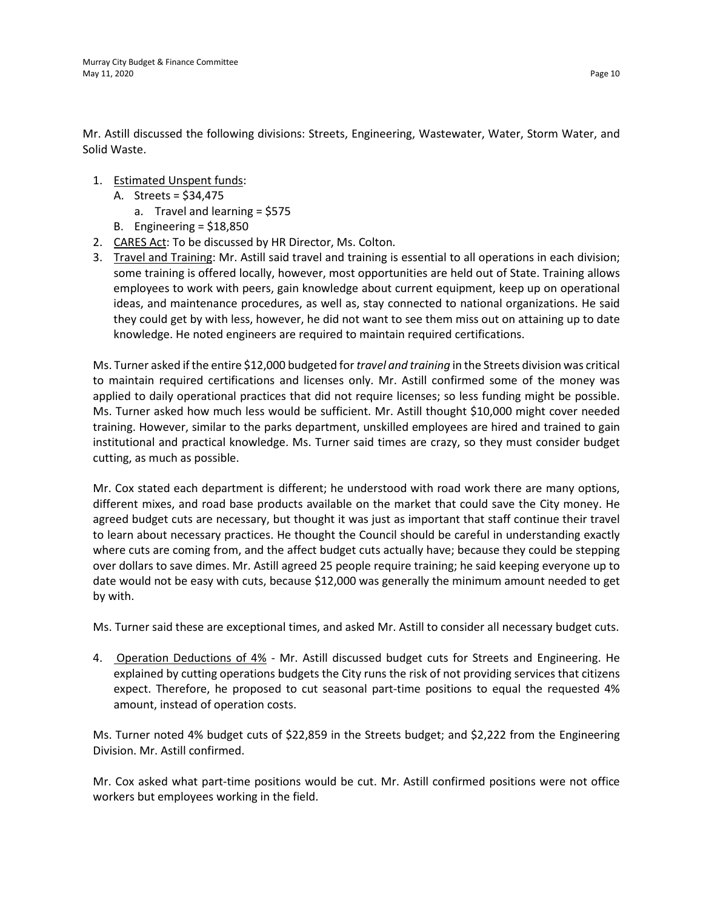Mr. Astill discussed the following divisions: Streets, Engineering, Wastewater, Water, Storm Water, and Solid Waste.

- 1. Estimated Unspent funds:
	- A. Streets = \$34,475
		- a. Travel and learning = \$575
	- B. Engineering = \$18,850
- 2. CARES Act: To be discussed by HR Director, Ms. Colton.
- 3. Travel and Training: Mr. Astill said travel and training is essential to all operations in each division; some training is offered locally, however, most opportunities are held out of State. Training allows employees to work with peers, gain knowledge about current equipment, keep up on operational ideas, and maintenance procedures, as well as, stay connected to national organizations. He said they could get by with less, however, he did not want to see them miss out on attaining up to date knowledge. He noted engineers are required to maintain required certifications.

Ms. Turner asked if the entire \$12,000 budgeted for *travel and training* in the Streets division was critical to maintain required certifications and licenses only. Mr. Astill confirmed some of the money was applied to daily operational practices that did not require licenses; so less funding might be possible. Ms. Turner asked how much less would be sufficient. Mr. Astill thought \$10,000 might cover needed training. However, similar to the parks department, unskilled employees are hired and trained to gain institutional and practical knowledge. Ms. Turner said times are crazy, so they must consider budget cutting, as much as possible.

Mr. Cox stated each department is different; he understood with road work there are many options, different mixes, and road base products available on the market that could save the City money. He agreed budget cuts are necessary, but thought it was just as important that staff continue their travel to learn about necessary practices. He thought the Council should be careful in understanding exactly where cuts are coming from, and the affect budget cuts actually have; because they could be stepping over dollars to save dimes. Mr. Astill agreed 25 people require training; he said keeping everyone up to date would not be easy with cuts, because \$12,000 was generally the minimum amount needed to get by with.

Ms. Turner said these are exceptional times, and asked Mr. Astill to consider all necessary budget cuts.

4. Operation Deductions of 4% - Mr. Astill discussed budget cuts for Streets and Engineering. He explained by cutting operations budgets the City runs the risk of not providing services that citizens expect. Therefore, he proposed to cut seasonal part-time positions to equal the requested 4% amount, instead of operation costs.

Ms. Turner noted 4% budget cuts of \$22,859 in the Streets budget; and \$2,222 from the Engineering Division. Mr. Astill confirmed.

Mr. Cox asked what part-time positions would be cut. Mr. Astill confirmed positions were not office workers but employees working in the field.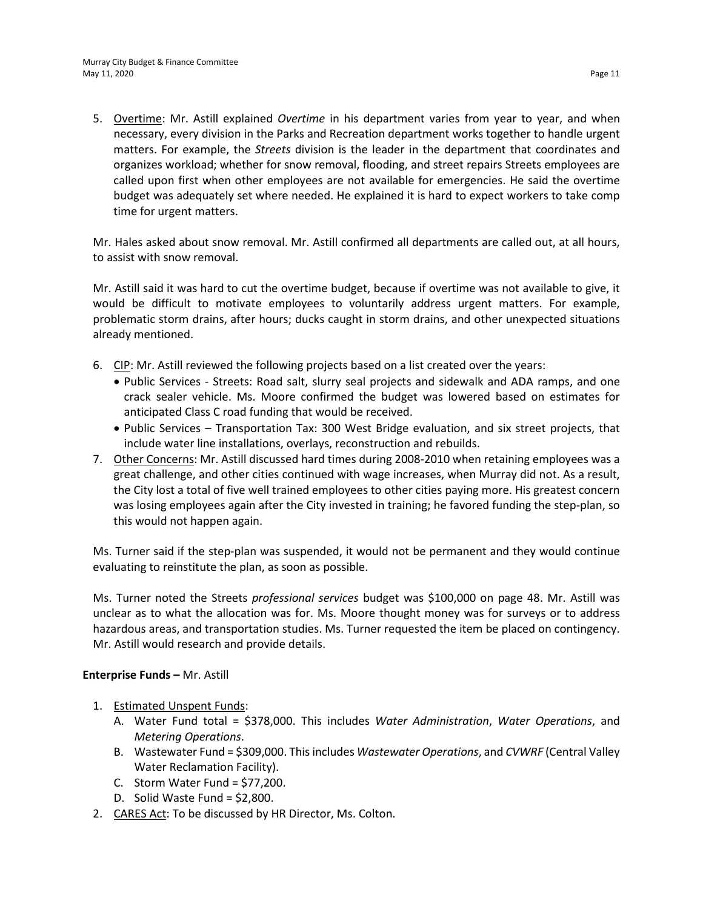5. Overtime: Mr. Astill explained *Overtime* in his department varies from year to year, and when necessary, every division in the Parks and Recreation department works together to handle urgent matters. For example, the *Streets* division is the leader in the department that coordinates and organizes workload; whether for snow removal, flooding, and street repairs Streets employees are called upon first when other employees are not available for emergencies. He said the overtime budget was adequately set where needed. He explained it is hard to expect workers to take comp time for urgent matters.

Mr. Hales asked about snow removal. Mr. Astill confirmed all departments are called out, at all hours, to assist with snow removal.

Mr. Astill said it was hard to cut the overtime budget, because if overtime was not available to give, it would be difficult to motivate employees to voluntarily address urgent matters. For example, problematic storm drains, after hours; ducks caught in storm drains, and other unexpected situations already mentioned.

- 6. CIP: Mr. Astill reviewed the following projects based on a list created over the years:
	- Public Services Streets: Road salt, slurry seal projects and sidewalk and ADA ramps, and one crack sealer vehicle. Ms. Moore confirmed the budget was lowered based on estimates for anticipated Class C road funding that would be received.
	- Public Services Transportation Tax: 300 West Bridge evaluation, and six street projects, that include water line installations, overlays, reconstruction and rebuilds.
- 7. Other Concerns: Mr. Astill discussed hard times during 2008-2010 when retaining employees was a great challenge, and other cities continued with wage increases, when Murray did not. As a result, the City lost a total of five well trained employees to other cities paying more. His greatest concern was losing employees again after the City invested in training; he favored funding the step-plan, so this would not happen again.

Ms. Turner said if the step-plan was suspended, it would not be permanent and they would continue evaluating to reinstitute the plan, as soon as possible.

Ms. Turner noted the Streets *professional services* budget was \$100,000 on page 48. Mr. Astill was unclear as to what the allocation was for. Ms. Moore thought money was for surveys or to address hazardous areas, and transportation studies. Ms. Turner requested the item be placed on contingency. Mr. Astill would research and provide details.

### **Enterprise Funds –** Mr. Astill

- 1. Estimated Unspent Funds:
	- A. Water Fund total = \$378,000. This includes *Water Administration*, *Water Operations*, and *Metering Operations*.
	- B. Wastewater Fund = \$309,000. This includes *Wastewater Operations*, and *CVWRF* (Central Valley Water Reclamation Facility).
	- C. Storm Water Fund =  $$77,200$ .
	- D. Solid Waste Fund = \$2,800.
- 2. CARES Act: To be discussed by HR Director, Ms. Colton.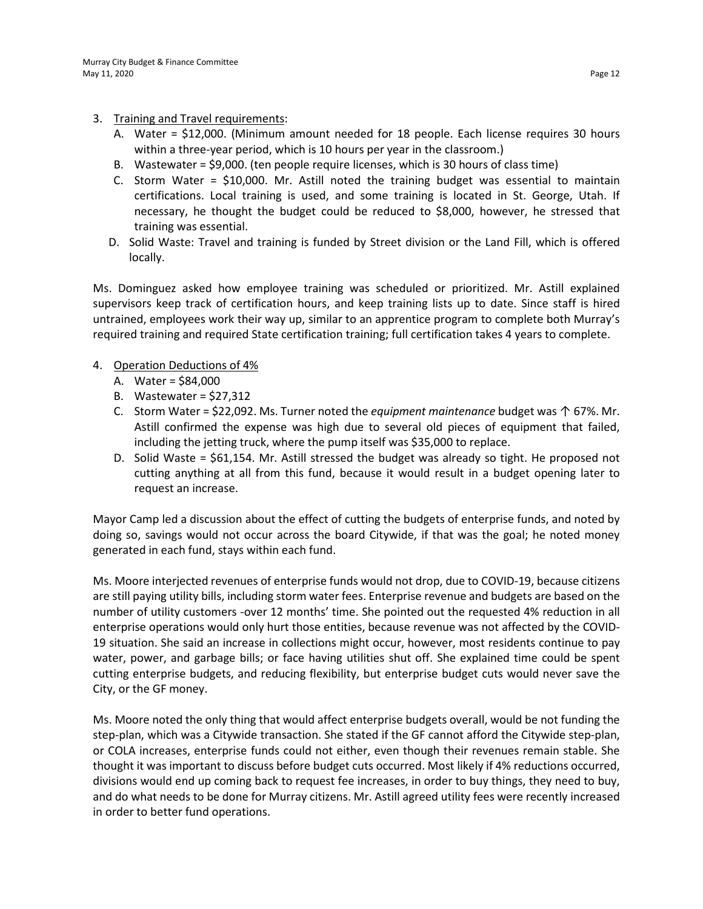- 3. Training and Travel requirements:
	- A. Water = \$12,000. (Minimum amount needed for 18 people. Each license requires 30 hours within a three-year period, which is 10 hours per year in the classroom.)
	- B. Wastewater = \$9,000. (ten people require licenses, which is 30 hours of class time)
	- C. Storm Water = \$10,000. Mr. Astill noted the training budget was essential to maintain certifications. Local training is used, and some training is located in St. George, Utah. If necessary, he thought the budget could be reduced to \$8,000, however, he stressed that training was essential.
	- D. Solid Waste: Travel and training is funded by Street division or the Land Fill, which is offered locally.

Ms. Dominguez asked how employee training was scheduled or prioritized. Mr. Astill explained supervisors keep track of certification hours, and keep training lists up to date. Since staff is hired untrained, employees work their way up, similar to an apprentice program to complete both Murray's required training and required State certification training; full certification takes 4 years to complete.

- 4. Operation Deductions of 4%
	- A. Water = \$84,000
	- B. Wastewater = \$27,312
	- C. Storm Water = \$22,092. Ms. Turner noted the *equipment maintenance* budget was ↑ 67%. Mr. Astill confirmed the expense was high due to several old pieces of equipment that failed, including the jetting truck, where the pump itself was \$35,000 to replace.
	- D. Solid Waste = \$61,154. Mr. Astill stressed the budget was already so tight. He proposed not cutting anything at all from this fund, because it would result in a budget opening later to request an increase.

Mayor Camp led a discussion about the effect of cutting the budgets of enterprise funds, and noted by doing so, savings would not occur across the board Citywide, if that was the goal; he noted money generated in each fund, stays within each fund.

Ms. Moore interjected revenues of enterprise funds would not drop, due to COVID-19, because citizens are still paying utility bills, including storm water fees. Enterprise revenue and budgets are based on the number of utility customers -over 12 months' time. She pointed out the requested 4% reduction in all enterprise operations would only hurt those entities, because revenue was not affected by the COVID-19 situation. She said an increase in collections might occur, however, most residents continue to pay water, power, and garbage bills; or face having utilities shut off. She explained time could be spent cutting enterprise budgets, and reducing flexibility, but enterprise budget cuts would never save the City, or the GF money.

Ms. Moore noted the only thing that would affect enterprise budgets overall, would be not funding the step-plan, which was a Citywide transaction. She stated if the GF cannot afford the Citywide step-plan, or COLA increases, enterprise funds could not either, even though their revenues remain stable. She thought it was important to discuss before budget cuts occurred. Most likely if 4% reductions occurred, divisions would end up coming back to request fee increases, in order to buy things, they need to buy, and do what needs to be done for Murray citizens. Mr. Astill agreed utility fees were recently increased in order to better fund operations.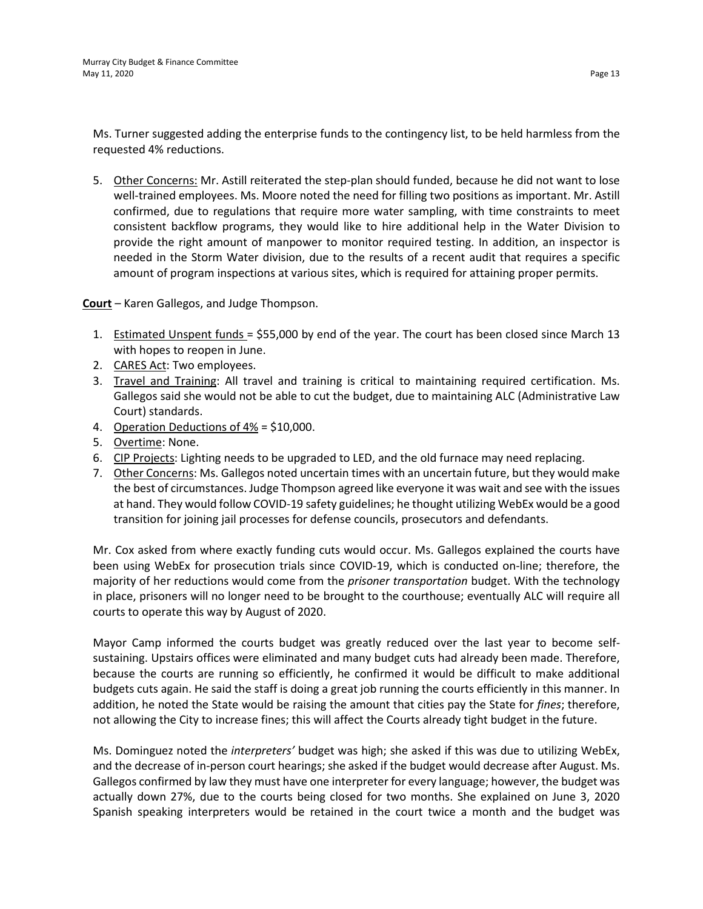Ms. Turner suggested adding the enterprise funds to the contingency list, to be held harmless from the requested 4% reductions.

5. Other Concerns: Mr. Astill reiterated the step-plan should funded, because he did not want to lose well-trained employees. Ms. Moore noted the need for filling two positions as important. Mr. Astill confirmed, due to regulations that require more water sampling, with time constraints to meet consistent backflow programs, they would like to hire additional help in the Water Division to provide the right amount of manpower to monitor required testing. In addition, an inspector is needed in the Storm Water division, due to the results of a recent audit that requires a specific amount of program inspections at various sites, which is required for attaining proper permits.

**Court** – Karen Gallegos, and Judge Thompson.

- 1. Estimated Unspent funds = \$55,000 by end of the year. The court has been closed since March 13 with hopes to reopen in June.
- 2. CARES Act: Two employees.
- 3. Travel and Training: All travel and training is critical to maintaining required certification. Ms. Gallegos said she would not be able to cut the budget, due to maintaining ALC (Administrative Law Court) standards.
- 4. Operation Deductions of 4% = \$10,000.
- 5. Overtime: None.
- 6. CIP Projects: Lighting needs to be upgraded to LED, and the old furnace may need replacing.
- 7. Other Concerns: Ms. Gallegos noted uncertain times with an uncertain future, but they would make the best of circumstances. Judge Thompson agreed like everyone it was wait and see with the issues at hand. They would follow COVID-19 safety guidelines; he thought utilizing WebEx would be a good transition for joining jail processes for defense councils, prosecutors and defendants.

Mr. Cox asked from where exactly funding cuts would occur. Ms. Gallegos explained the courts have been using WebEx for prosecution trials since COVID-19, which is conducted on-line; therefore, the majority of her reductions would come from the *prisoner transportation* budget. With the technology in place, prisoners will no longer need to be brought to the courthouse; eventually ALC will require all courts to operate this way by August of 2020.

Mayor Camp informed the courts budget was greatly reduced over the last year to become selfsustaining. Upstairs offices were eliminated and many budget cuts had already been made. Therefore, because the courts are running so efficiently, he confirmed it would be difficult to make additional budgets cuts again. He said the staff is doing a great job running the courts efficiently in this manner. In addition, he noted the State would be raising the amount that cities pay the State for *fines*; therefore, not allowing the City to increase fines; this will affect the Courts already tight budget in the future.

Ms. Dominguez noted the *interpreters'* budget was high; she asked if this was due to utilizing WebEx, and the decrease of in-person court hearings; she asked if the budget would decrease after August. Ms. Gallegos confirmed by law they must have one interpreter for every language; however, the budget was actually down 27%, due to the courts being closed for two months. She explained on June 3, 2020 Spanish speaking interpreters would be retained in the court twice a month and the budget was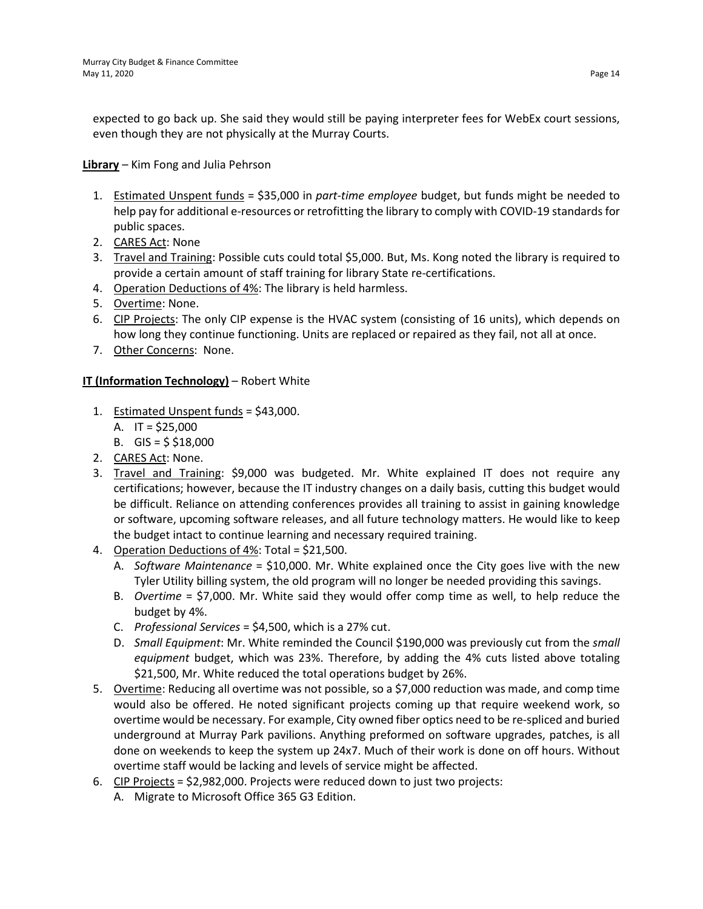expected to go back up. She said they would still be paying interpreter fees for WebEx court sessions, even though they are not physically at the Murray Courts.

**Library** – Kim Fong and Julia Pehrson

- 1. Estimated Unspent funds = \$35,000 in *part-time employee* budget, but funds might be needed to help pay for additional e-resources or retrofitting the library to comply with COVID-19 standards for public spaces.
- 2. CARES Act: None
- 3. Travel and Training: Possible cuts could total \$5,000. But, Ms. Kong noted the library is required to provide a certain amount of staff training for library State re-certifications.
- 4. Operation Deductions of 4%: The library is held harmless.
- 5. Overtime: None.
- 6. CIP Projects: The only CIP expense is the HVAC system (consisting of 16 units), which depends on how long they continue functioning. Units are replaced or repaired as they fail, not all at once.
- 7. Other Concerns: None.

### **IT (Information Technology)** – Robert White

- 1. Estimated Unspent funds = \$43,000.
	- A. IT = \$25,000
	- B. GIS =  $$ $18,000$
- 2. CARES Act: None.
- 3. Travel and Training: \$9,000 was budgeted. Mr. White explained IT does not require any certifications; however, because the IT industry changes on a daily basis, cutting this budget would be difficult. Reliance on attending conferences provides all training to assist in gaining knowledge or software, upcoming software releases, and all future technology matters. He would like to keep the budget intact to continue learning and necessary required training.
- 4. Operation Deductions of 4%: Total = \$21,500.
	- A. *Software Maintenance* = \$10,000. Mr. White explained once the City goes live with the new Tyler Utility billing system, the old program will no longer be needed providing this savings.
	- B. *Overtime* = \$7,000. Mr. White said they would offer comp time as well, to help reduce the budget by 4%.
	- C. *Professional Services* = \$4,500, which is a 27% cut.
	- D. *Small Equipment*: Mr. White reminded the Council \$190,000 was previously cut from the *small equipment* budget, which was 23%. Therefore, by adding the 4% cuts listed above totaling \$21,500, Mr. White reduced the total operations budget by 26%.
- 5. Overtime: Reducing all overtime was not possible, so a \$7,000 reduction was made, and comp time would also be offered. He noted significant projects coming up that require weekend work, so overtime would be necessary. For example, City owned fiber optics need to be re-spliced and buried underground at Murray Park pavilions. Anything preformed on software upgrades, patches, is all done on weekends to keep the system up 24x7. Much of their work is done on off hours. Without overtime staff would be lacking and levels of service might be affected.
- 6. CIP Projects = \$2,982,000. Projects were reduced down to just two projects:
	- A. Migrate to Microsoft Office 365 G3 Edition.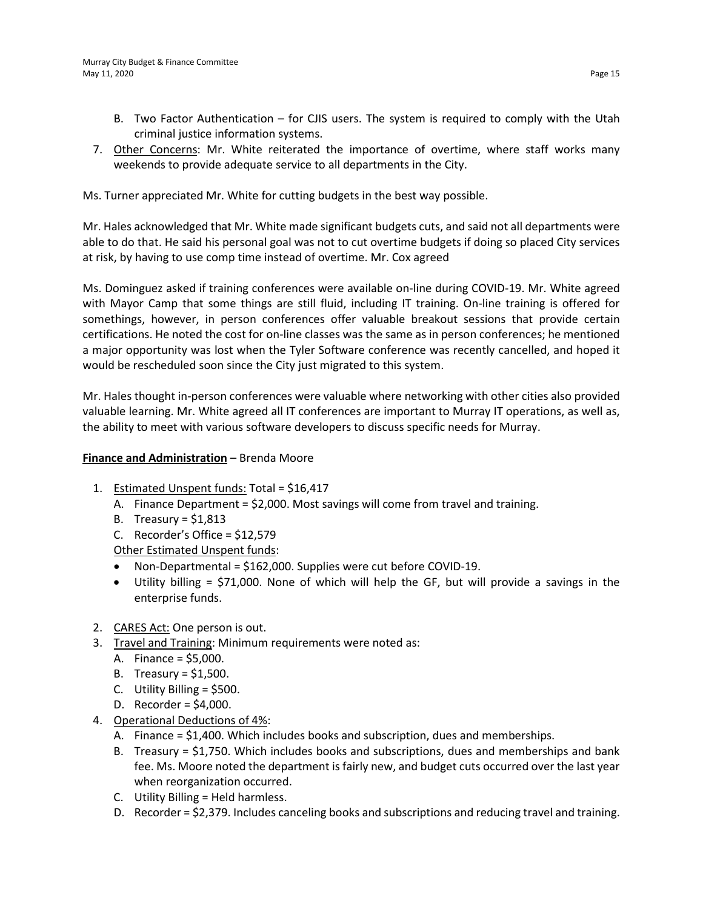- B. Two Factor Authentication for CJIS users. The system is required to comply with the Utah criminal justice information systems.
- 7. Other Concerns: Mr. White reiterated the importance of overtime, where staff works many weekends to provide adequate service to all departments in the City.

Ms. Turner appreciated Mr. White for cutting budgets in the best way possible.

Mr. Hales acknowledged that Mr. White made significant budgets cuts, and said not all departments were able to do that. He said his personal goal was not to cut overtime budgets if doing so placed City services at risk, by having to use comp time instead of overtime. Mr. Cox agreed

Ms. Dominguez asked if training conferences were available on-line during COVID-19. Mr. White agreed with Mayor Camp that some things are still fluid, including IT training. On-line training is offered for somethings, however, in person conferences offer valuable breakout sessions that provide certain certifications. He noted the cost for on-line classes was the same as in person conferences; he mentioned a major opportunity was lost when the Tyler Software conference was recently cancelled, and hoped it would be rescheduled soon since the City just migrated to this system.

Mr. Hales thought in-person conferences were valuable where networking with other cities also provided valuable learning. Mr. White agreed all IT conferences are important to Murray IT operations, as well as, the ability to meet with various software developers to discuss specific needs for Murray.

### **Finance and Administration** – Brenda Moore

- 1. Estimated Unspent funds: Total = \$16,417
	- A. Finance Department = \$2,000. Most savings will come from travel and training.
	- B. Treasury =  $$1,813$
	- C. Recorder's Office =  $$12,579$

Other Estimated Unspent funds:

- Non-Departmental = \$162,000. Supplies were cut before COVID-19.
- Utility billing = \$71,000. None of which will help the GF, but will provide a savings in the enterprise funds.
- 2. CARES Act: One person is out.
- 3. Travel and Training: Minimum requirements were noted as:
	- A. Finance = \$5,000.
	- B. Treasury =  $$1,500$ .
	- C. Utility Billing = \$500.
	- D. Recorder = \$4,000.
- 4. Operational Deductions of 4%:
	- A. Finance = \$1,400. Which includes books and subscription, dues and memberships.
	- B. Treasury = \$1,750. Which includes books and subscriptions, dues and memberships and bank fee. Ms. Moore noted the department is fairly new, and budget cuts occurred over the last year when reorganization occurred.
	- C. Utility Billing = Held harmless.
	- D. Recorder = \$2,379. Includes canceling books and subscriptions and reducing travel and training.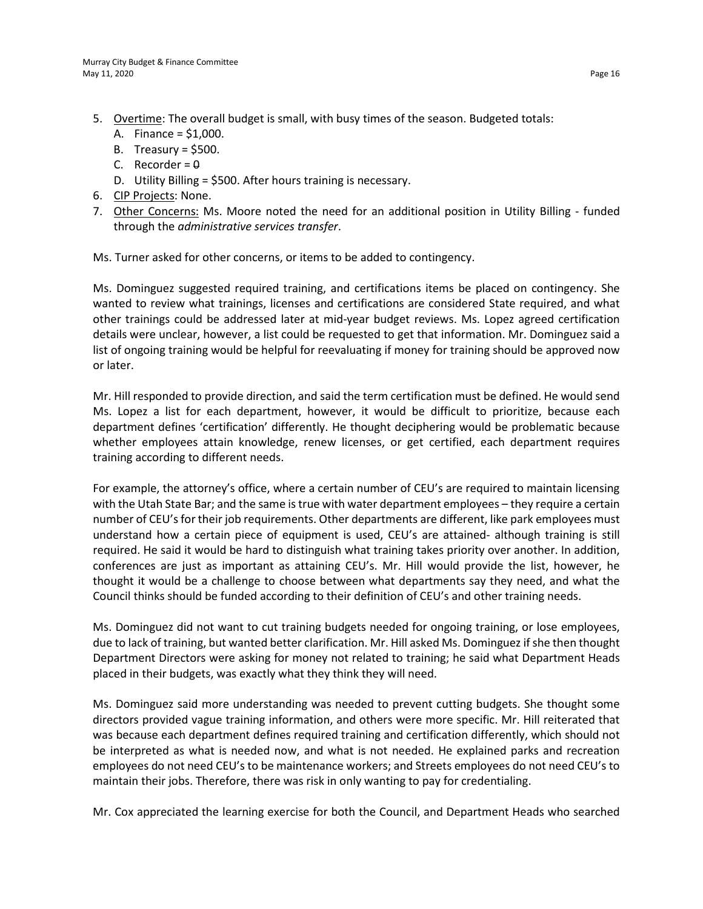- 5. Overtime: The overall budget is small, with busy times of the season. Budgeted totals:
	- A. Finance = \$1,000.
	- B. Treasury =  $$500$ .
	- C. Recorder =  $\theta$
	- D. Utility Billing = \$500. After hours training is necessary.
- 6. CIP Projects: None.
- 7. Other Concerns: Ms. Moore noted the need for an additional position in Utility Billing funded through the *administrative services transfer*.

Ms. Turner asked for other concerns, or items to be added to contingency.

Ms. Dominguez suggested required training, and certifications items be placed on contingency. She wanted to review what trainings, licenses and certifications are considered State required, and what other trainings could be addressed later at mid-year budget reviews. Ms. Lopez agreed certification details were unclear, however, a list could be requested to get that information. Mr. Dominguez said a list of ongoing training would be helpful for reevaluating if money for training should be approved now or later.

Mr. Hill responded to provide direction, and said the term certification must be defined. He would send Ms. Lopez a list for each department, however, it would be difficult to prioritize, because each department defines 'certification' differently. He thought deciphering would be problematic because whether employees attain knowledge, renew licenses, or get certified, each department requires training according to different needs.

For example, the attorney's office, where a certain number of CEU's are required to maintain licensing with the Utah State Bar; and the same is true with water department employees – they require a certain number of CEU's for their job requirements. Other departments are different, like park employees must understand how a certain piece of equipment is used, CEU's are attained- although training is still required. He said it would be hard to distinguish what training takes priority over another. In addition, conferences are just as important as attaining CEU's. Mr. Hill would provide the list, however, he thought it would be a challenge to choose between what departments say they need, and what the Council thinks should be funded according to their definition of CEU's and other training needs.

Ms. Dominguez did not want to cut training budgets needed for ongoing training, or lose employees, due to lack of training, but wanted better clarification. Mr. Hill asked Ms. Dominguez if she then thought Department Directors were asking for money not related to training; he said what Department Heads placed in their budgets, was exactly what they think they will need.

Ms. Dominguez said more understanding was needed to prevent cutting budgets. She thought some directors provided vague training information, and others were more specific. Mr. Hill reiterated that was because each department defines required training and certification differently, which should not be interpreted as what is needed now, and what is not needed. He explained parks and recreation employees do not need CEU's to be maintenance workers; and Streets employees do not need CEU's to maintain their jobs. Therefore, there was risk in only wanting to pay for credentialing.

Mr. Cox appreciated the learning exercise for both the Council, and Department Heads who searched